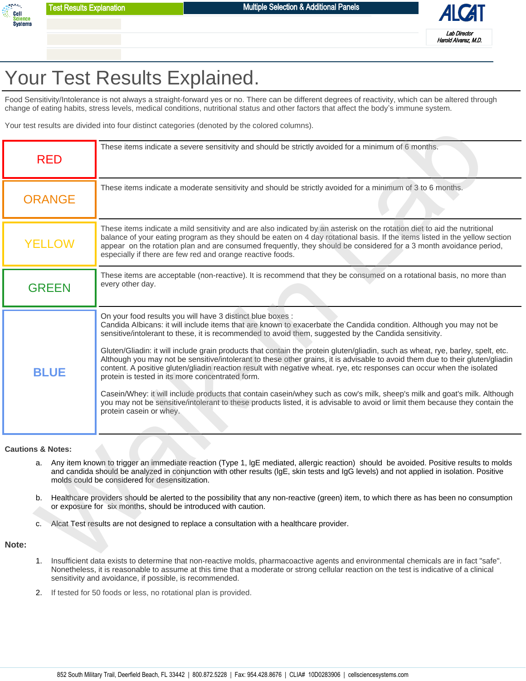



## Your Test Results Explained.

Food Sensitivity/Intolerance is not always a straight-forward yes or no. There can be different degrees of reactivity, which can be altered through change of eating habits, stress levels, medical conditions, nutritional status and other factors that affect the body's immune system.

|                                    |               | Your test results are divided into four distinct categories (denoted by the colored columns).                                                                                                                                                                                                                                                                                                                                                                                                                                                                                                                                                                                                                                                                                                                                                                                                                                                                                                                                         |  |  |  |
|------------------------------------|---------------|---------------------------------------------------------------------------------------------------------------------------------------------------------------------------------------------------------------------------------------------------------------------------------------------------------------------------------------------------------------------------------------------------------------------------------------------------------------------------------------------------------------------------------------------------------------------------------------------------------------------------------------------------------------------------------------------------------------------------------------------------------------------------------------------------------------------------------------------------------------------------------------------------------------------------------------------------------------------------------------------------------------------------------------|--|--|--|
|                                    | <b>RED</b>    | These items indicate a severe sensitivity and should be strictly avoided for a minimum of 6 months.                                                                                                                                                                                                                                                                                                                                                                                                                                                                                                                                                                                                                                                                                                                                                                                                                                                                                                                                   |  |  |  |
|                                    | <b>ORANGE</b> | These items indicate a moderate sensitivity and should be strictly avoided for a minimum of 3 to 6 months.                                                                                                                                                                                                                                                                                                                                                                                                                                                                                                                                                                                                                                                                                                                                                                                                                                                                                                                            |  |  |  |
|                                    | <b>YELLOW</b> | These items indicate a mild sensitivity and are also indicated by an asterisk on the rotation diet to aid the nutritional<br>balance of your eating program as they should be eaten on 4 day rotational basis. If the items listed in the yellow section<br>appear on the rotation plan and are consumed frequently, they should be considered for a 3 month avoidance period,<br>especially if there are few red and orange reactive foods.                                                                                                                                                                                                                                                                                                                                                                                                                                                                                                                                                                                          |  |  |  |
|                                    | <b>GREEN</b>  | These items are acceptable (non-reactive). It is recommend that they be consumed on a rotational basis, no more than<br>every other day.                                                                                                                                                                                                                                                                                                                                                                                                                                                                                                                                                                                                                                                                                                                                                                                                                                                                                              |  |  |  |
| <b>BLUE</b>                        |               | On your food results you will have 3 distinct blue boxes :<br>Candida Albicans: it will include items that are known to exacerbate the Candida condition. Although you may not be<br>sensitive/intolerant to these, it is recommended to avoid them, suggested by the Candida sensitivity.<br>Gluten/Gliadin: it will include grain products that contain the protein gluten/gliadin, such as wheat, rye, barley, spelt, etc.<br>Although you may not be sensitive/intolerant to these other grains, it is advisable to avoid them due to their gluten/gliadin<br>content. A positive gluten/gliadin reaction result with negative wheat. rye, etc responses can occur when the isolated<br>protein is tested in its more concentrated form.<br>Casein/Whey: it will include products that contain casein/whey such as cow's milk, sheep's milk and goat's milk. Although<br>you may not be sensitive/intolerant to these products listed, it is advisable to avoid or limit them because they contain the<br>protein casein or whey. |  |  |  |
| <b>Cautions &amp; Notes:</b><br>c. |               | a. Any item known to trigger an immediate reaction (Type 1, IgE mediated, allergic reaction) should be avoided. Positive results to molds<br>and candida should be analyzed in conjunction with other results (IgE, skin tests and IgG levels) and not applied in isolation. Positive<br>molds could be considered for desensitization.<br>Healthcare providers should be alerted to the possibility that any non-reactive (green) item, to which there as has been no consumption<br>or exposure for six months, should be introduced with caution.<br>Alcat Test results are not designed to replace a consultation with a healthcare provider.                                                                                                                                                                                                                                                                                                                                                                                     |  |  |  |
| Note:<br>1.                        |               | Insufficient data exists to determine that non-reactive molds, pharmacoactive agents and environmental chemicals are in fact "safe".                                                                                                                                                                                                                                                                                                                                                                                                                                                                                                                                                                                                                                                                                                                                                                                                                                                                                                  |  |  |  |
|                                    |               |                                                                                                                                                                                                                                                                                                                                                                                                                                                                                                                                                                                                                                                                                                                                                                                                                                                                                                                                                                                                                                       |  |  |  |

## **Cautions & Notes:**

- Any item known to trigger an immediate reaction (Type 1, lgE mediated, allergic reaction) should be avoided. Positive results to molds and candida should be analyzed in conjunction with other results (lgE, skin tests and IgG levels) and not applied in isolation. Positive molds could be considered for desensitization. a.
- b. Healthcare providers should be alerted to the possibility that any non-reactive (green) item, to which there as has been no consumption or exposure for six months, should be introduced with caution.
- c. Alcat Test results are not designed to replace a consultation with a healthcare provider.

## **Note:**

- Insufficient data exists to determine that non-reactive molds, pharmacoactive agents and environmental chemicals are in fact "safe". Nonetheless, it is reasonable to assume at this time that a moderate or strong cellular reaction on the test is indicative of a clinical sensitivity and avoidance, if possible, is recommended. 1.
- 2. If tested for 50 foods or less, no rotational plan is provided.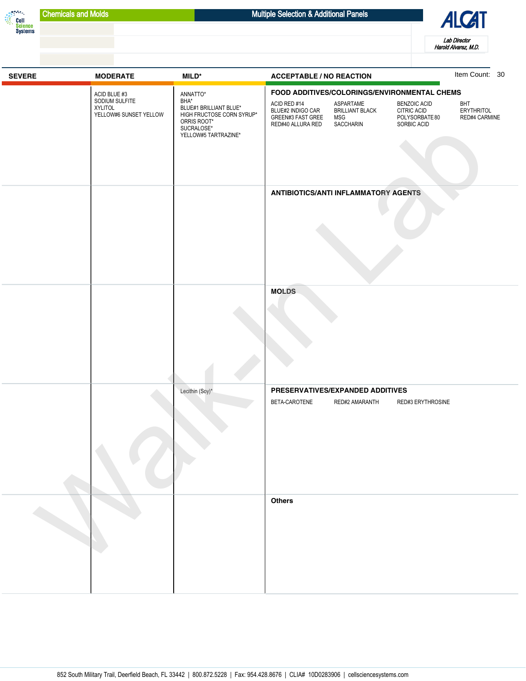



| <b>SEVERE</b> | <b>MODERATE</b>                                                     | $MILD^*$                                                                                                                     | <b>ACCEPTABLE / NO REACTION</b>                                                                                                                                                                                                                                      | Item Count: 30                            |
|---------------|---------------------------------------------------------------------|------------------------------------------------------------------------------------------------------------------------------|----------------------------------------------------------------------------------------------------------------------------------------------------------------------------------------------------------------------------------------------------------------------|-------------------------------------------|
|               | ACID BLUE #3<br>SODIUM SULFITE<br>XYLITOL<br>YELLOW#6 SUNSET YELLOW | ANNATTO*<br>BHA*<br>BLUE#1 BRILLIANT BLUE*<br>HIGH FRUCTOSE CORN SYRUP*<br>ORRIS ROOT*<br>SUCRALOSE*<br>YELLOW#5 TARTRAZINE* | FOOD ADDITIVES/COLORINGS/ENVIRONMENTAL CHEMS<br>ASPARTAME<br>ACID RED #14<br><b>BENZOIC ACID</b><br><b>BRILLIANT BLACK</b><br>BLUE#2 INDIGO CAR<br>CITRIC ACID<br>GREEN#3 FAST GREE<br><b>MSG</b><br>POLYSORBATE 80<br>RED#40 ALLURA RED<br>SACCHARIN<br>SORBIC ACID | BHT<br><b>ERYTHRITOL</b><br>RED#4 CARMINE |
|               |                                                                     |                                                                                                                              | <b>ANTIBIOTICS/ANTI INFLAMMATORY AGENTS</b>                                                                                                                                                                                                                          |                                           |
|               |                                                                     |                                                                                                                              | <b>MOLDS</b>                                                                                                                                                                                                                                                         |                                           |
|               |                                                                     | Lecithin (Soy)*                                                                                                              | PRESERVATIVES/EXPANDED ADDITIVES<br>BETA-CAROTENE<br>RED#2 AMARANTH<br>RED#3 ERYTHROSINE                                                                                                                                                                             |                                           |
|               |                                                                     |                                                                                                                              | <b>Others</b>                                                                                                                                                                                                                                                        |                                           |